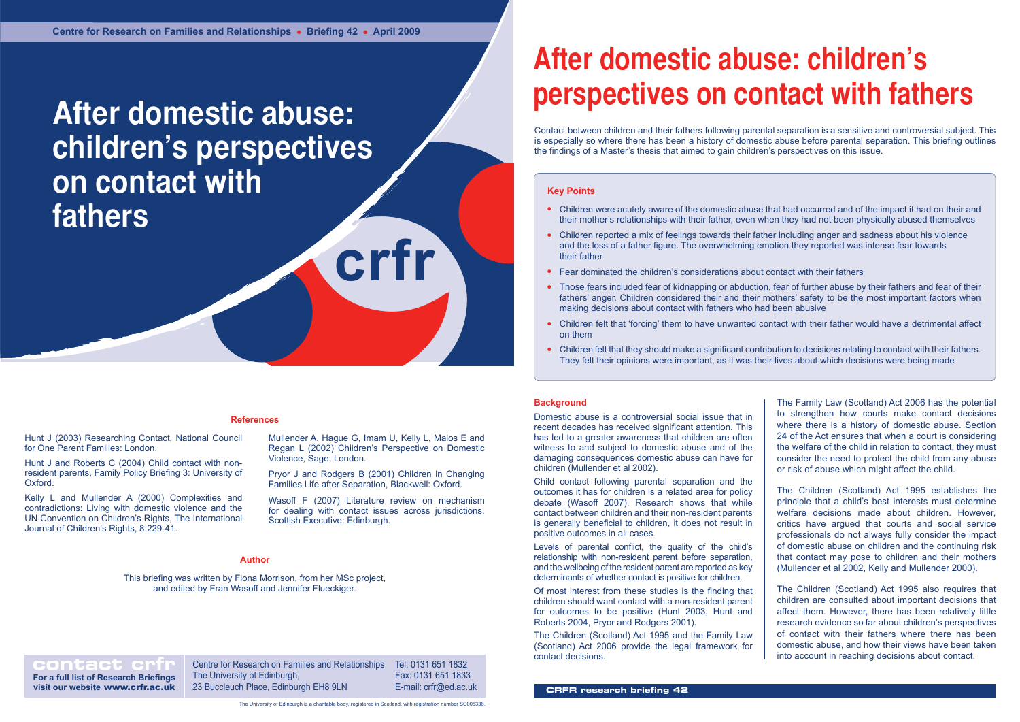**crfr**

# **After domestic abuse: children's perspectives on contact with fathers**

# **References**

# **Key Points**

- Children were acutely aware of the domestic abuse that had occurred and of the impact it had on their and their mother's relationships with their father, even when they had not been physically abused themselves
- Children reported a mix of feelings towards their father including anger and sadness about his violence and the loss of a father figure. The overwhelming emotion they reported was intense fear towards their father
- Fear dominated the children's considerations about contact with their fathers
- Those fears included fear of kidnapping or abduction, fear of further abuse by their fathers and fear of their fathers' anger. Children considered their and their mothers' safety to be the most important factors when making decisions about contact with fathers who had been abusive
- Children felt that 'forcing' them to have unwanted contact with their father would have a detrimental affect on them
- Children felt that they should make a significant contribution to decisions relating to contact with their fathers. They felt their opinions were important, as it was their lives about which decisions were being made

**contact crip Centre for Research on Families and Relationships** The University of Edinburgh, 23 Buccleuch Place, Edinburgh EH8 9LN Tel: 0131 651 1832 Fax: 0131 651 1833 E-mail: crfr@ed.ac.uk

**Author** Kelly L and Mullender A (2000) Complexities and contradictions: Living with domestic violence and the UN Convention on Children's Rights, The International Journal of Children's Rights, 8:229-41.

**For a full list of Research Briefings visit our website** www.crfr.ac.uk

The University of Edinburgh is a charitable body, registered in Scotland, with registration number SC005336.

# **After domestic abuse: children's perspectives on contact with fathers**

# **Author**

This briefing was written by Fiona Morrison, from her MSc project, and edited by Fran Wasoff and Jennifer Flueckiger.

Hunt J (2003) Researching Contact, National Council for One Parent Families: London.

Hunt J and Roberts C (2004) Child contact with nonresident parents, Family Policy Briefing 3: University of Oxford.

Mullender A, Hague G, Imam U, Kelly L, Malos E and Regan L (2002) Children's Perspective on Domestic Violence, Sage: London.

Pryor J and Rodgers B (2001) Children in Changing Families Life after Separation, Blackwell: Oxford.

Wasoff F (2007) Literature review on mechanism for dealing with contact issues across jurisdictions, Scottish Executive: Edinburgh.

# **Background**

Domestic abuse is a controversial social issue that in recent decades has received significant attention. This has led to a greater awareness that children are often witness to and subject to domestic abuse and of the damaging consequences domestic abuse can have for children (Mullender et al 2002).

Child contact following parental separation and the outcomes it has for children is a related area for policy debate (Wasoff 2007). Research shows that while contact between children and their non-resident parents is generally beneficial to children, it does not result in positive outcomes in all cases.

Levels of parental conflict, the quality of the child's relationship with non-resident parent before separation, and the wellbeing of the resident parent are reported as key determinants of whether contact is positive for children.

Of most interest from these studies is the finding that children should want contact with a non-resident parent for outcomes to be positive (Hunt 2003, Hunt and Roberts 2004, Pryor and Rodgers 2001).

The Children (Scotland) Act 1995 and the Family Law (Scotland) Act 2006 provide the legal framework for contact decisions.

Contact between children and their fathers following parental separation is a sensitive and controversial subject. This is especially so where there has been a history of domestic abuse before parental separation. This briefing outlines the findings of a Master's thesis that aimed to gain children's perspectives on this issue.

- The Family Law (Scotland) Act 2006 has the potential to strengthen how courts make contact decisions where there is a history of domestic abuse. Section 24 of the Act ensures that when a court is considering the welfare of the child in relation to contact, they must consider the need to protect the child from any abuse or risk of abuse which might affect the child.
- The Children (Scotland) Act 1995 establishes the principle that a child's best interests must determine welfare decisions made about children. However, critics have argued that courts and social service professionals do not always fully consider the impact of domestic abuse on children and the continuing risk that contact may pose to children and their mothers (Mullender et al 2002, Kelly and Mullender 2000).
- The Children (Scotland) Act 1995 also requires that children are consulted about important decisions that affect them. However, there has been relatively little research evidence so far about children's perspectives of contact with their fathers where there has been domestic abuse, and how their views have been taken into account in reaching decisions about contact.